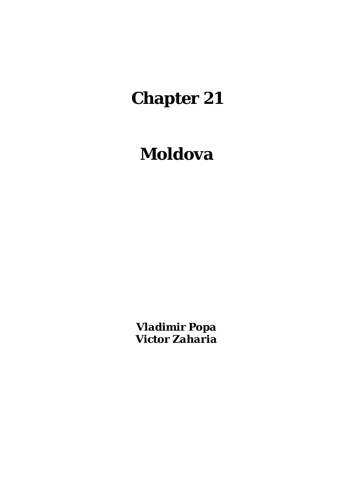# **Chapter 21**

# **Moldova**

*Vladimir Popa Victor Zaharia*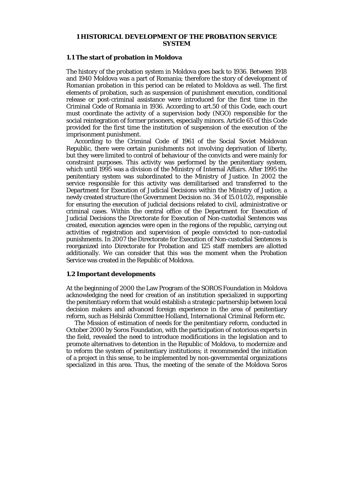#### **1 HISTORICAL DEVELOPMENT OF THE PROBATION SERVICE SYSTEM**

#### **1.1 The start of probation in Moldova**

The history of the probation system in Moldova goes back to 1936. Between 1918 and 1940 Moldova was a part of Romania; therefore the story of development of Romanian probation in this period can be related to Moldova as well. The first elements of probation, such as suspension of punishment execution, conditional release or post-criminal assistance were introduced for the first time in the Criminal Code of Romania in 1936. According to art.50 of this Code, each court must coordinate the activity of a supervision body (NGO) responsible for the social reintegration of former prisoners, especially minors. Article 65 of this Code provided for the first time the institution of suspension of the execution of the imprisonment punishment.

 According to the Criminal Code of 1961 of the Social Soviet Moldovan Republic, there were certain punishments not involving deprivation of liberty, but they were limited to control of behaviour of the convicts and were mainly for constraint purposes. This activity was performed by the penitentiary system, which until 1995 was a division of the Ministry of Internal Affairs. After 1995 the penitentiary system was subordinated to the Ministry of Justice. In 2002 the service responsible for this activity was demilitarised and transferred to the Department for Execution of Judicial Decisions within the Ministry of Justice, a newly created structure (the Government Decision no. 34 of 15.01.02), responsible for ensuring the execution of judicial decisions related to civil, administrative or criminal cases. Within the central office of the Department for Execution of Judicial Decisions the Directorate for Execution of Non-custodial Sentences was created, execution agencies were open in the regions of the republic, carrying out activities of registration and supervision of people convicted to non-custodial punishments. In 2007 the Directorate for Execution of Non-custodial Sentences is reorganized into Directorate for Probation and 125 staff members are allotted additionally. We can consider that this was the moment when the Probation Service was created in the Republic of Moldova.

#### **1.2 Important developments**

At the beginning of 2000 the Law Program of the SOROS Foundation in Moldova acknowledging the need for creation of an institution specialized in supporting the penitentiary reform that would establish a strategic partnership between local decision makers and advanced foreign experience in the area of penitentiary reform, such as Helsinki Committee Holland, International Criminal Reform etc.

 The Mission of estimation of needs for the penitentiary reform, conducted in October 2000 by Soros Foundation, with the participation of notorious experts in the field, revealed the need to introduce modifications in the legislation and to promote alternatives to detention in the Republic of Moldova, to modernize and to reform the system of penitentiary institutions; it recommended the initiation of a project in this sense, to be implemented by non-governmental organizations specialized in this area. Thus, the meeting of the senate of the Moldova Soros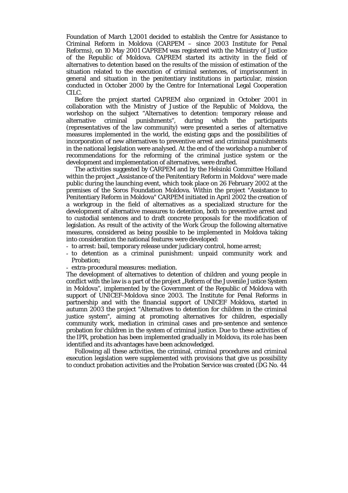Foundation of March 1,2001 decided to establish the Centre for Assistance to Criminal Reform in Moldova (CARPEM – since 2003 Institute for Penal Reforms), on 10 May 2001 CAPREM was registered with the Ministry of Justice of the Republic of Moldova. CAPREM started its activity in the field of alternatives to detention based on the results of the mission of estimation of the situation related to the execution of criminal sentences, of imprisonment in general and situation in the penitentiary institutions in particular, mission conducted in October 2000 by the Centre for International Legal Cooperation CILC.

 Before the project started CAPREM also organized in October 2001 in collaboration with the Ministry of Justice of the Republic of Moldova, the workshop on the subject "Alternatives to detention: temporary release and alternative criminal punishments", during which the participants (representatives of the law community) were presented a series of alternative measures implemented in the world, the existing gaps and the possibilities of incorporation of new alternatives to preventive arrest and criminal punishments in the national legislation were analysed. At the end of the workshop a number of recommendations for the reforming of the criminal justice system or the development and implementation of alternatives, were drafted.

 The activities suggested by CARPEM and by the Helsinki Committee Holland within the project "Assistance of the Penitentiary Reform in Moldova" were made public during the launching event, which took place on 26 February 2002 at the premises of the Soros Foundation Moldova. Within the project "Assistance to Penitentiary Reform in Moldova" CARPEM initiated in April 2002 the creation of a workgroup in the field of alternatives as a specialized structure for the development of alternative measures to detention, both to preventive arrest and to custodial sentences and to draft concrete proposals for the modification of legislation. As result of the activity of the Work Group the following alternative measures, considered as being possible to be implemented in Moldova taking into consideration the national features were developed:

- to arrest: bail, temporary release under judiciary control, home arrest;
- to detention as a criminal punishment: unpaid community work and Probation;
- extra-procedural measures: mediation.

The development of alternatives to detention of children and young people in conflict with the law is a part of the project "Reform of the Juvenile Justice System in Moldova", implemented by the Government of the Republic of Moldova with support of UNICEF-Moldova since 2003. The Institute for Penal Reforms in partnership and with the financial support of UNICEF Moldova, started in autumn 2003 the project "Alternatives to detention for children in the criminal justice system", aiming at promoting alternatives for children, especially community work, mediation in criminal cases and pre-sentence and sentence probation for children in the system of criminal justice. Due to these activities of the IPR, probation has been implemented gradually in Moldova, its role has been identified and its advantages have been acknowledged.

 Following all these activities, the criminal, criminal procedures and criminal execution legislation were supplemented with provisions that give us possibility to conduct probation activities and the Probation Service was created (DG No. 44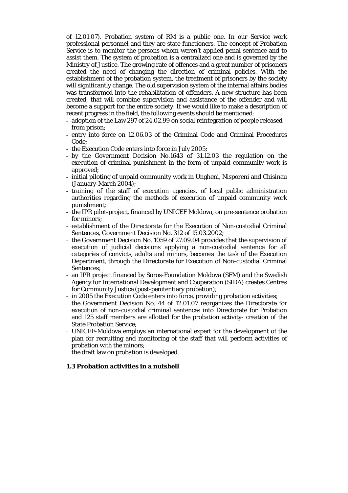of 12.01.07). Probation system of RM is a public one. In our Service work professional personnel and they are state functioners. The concept of Probation Service is to monitor the persons whom weren't applied penal sentence and to assist them. The system of probation is a centralized one and is governed by the Ministry of Justice. The growing rate of offences and a great number of prisoners created the need of changing the direction of criminal policies. With the establishment of the probation system, the treatment of prisoners by the society will significantly change. The old supervision system of the internal affairs bodies was transformed into the rehabilitation of offenders. A new structure has been created, that will combine supervision and assistance of the offender and will become a support for the entire society. If we would like to make a description of recent progress in the field, the following events should be mentioned:

- adoption of the Law 297 of 24.02.99 on social reintegration of people released from prison;
- entry into force on 12.06.03 of the Criminal Code and Criminal Procedures Code;
- the Execution Code enters into force in July 2005;
- by the Government Decision No.1643 of 31.12.03 the regulation on the execution of criminal punishment in the form of unpaid community work is approved;
- initial piloting of unpaid community work in Ungheni, Nisporeni and Chisinau (January-March 2004);
- training of the staff of execution agencies, of local public administration authorities regarding the methods of execution of unpaid community work punishment;
- the IPR pilot-project, financed by UNICEF Moldova, on pre-sentence probation for minors;
- establishment of the Directorate for the Execution of Non-custodial Criminal Sentences, Government Decision No. 312 of 15.03.2002;
- the Government Decision No. 1059 of 27.09.04 provides that the supervision of execution of judicial decisions applying a non-custodial sentence for all categories of convicts, adults and minors, becomes the task of the Execution Department, through the Directorate for Execution of Non-custodial Criminal Sentences;
- an IPR project financed by Soros-Foundation Moldova (SFM) and the Swedish Agency for International Development and Cooperation (SIDA) creates Centres for Community Justice (post-penitentiary probation);
- in 2005 the Execution Code enters into force, providing probation activities;
- the Government Decision No. 44 of 12.01.07 reorganizes the Directorate for execution of non-custodial criminal sentences into Directorate for Probation and 125 staff members are allotted for the probation activity- creation of the State Probation Service;
- UNICEF-Moldova employs an international expert for the development of the plan for recruiting and monitoring of the staff that will perform activities of probation with the minors;
- the draft law on probation is developed.

## **1.3 Probation activities in a nutshell**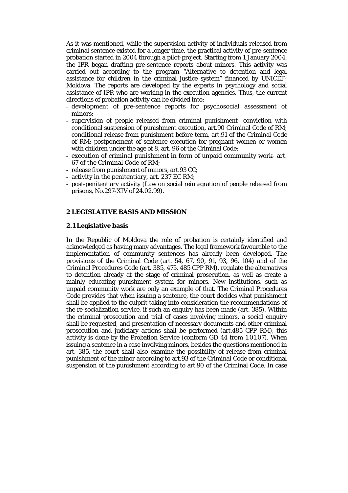As it was mentioned, while the supervision activity of individuals released from criminal sentence existed for a longer time, the practical activity of pre-sentence probation started in 2004 through a pilot-project. Starting from 1 January 2004, the IPR began drafting pre-sentence reports about minors. This activity was carried out according to the program "Alternative to detention and legal assistance for children in the criminal justice system" financed by UNICEF-Moldova. The reports are developed by the experts in psychology and social assistance of IPR who are working in the execution agencies. Thus, the current directions of probation activity can be divided into:

- development of pre-sentence reports for psychosocial assessment of minors;
- supervision of people released from criminal punishment- conviction with conditional suspension of punishment execution, art.90 Criminal Code of RM; conditional release from punishment before term, art.91 of the Criminal Code of RM; postponement of sentence execution for pregnant women or women with children under the age of 8, art. 96 of the Criminal Code;
- execution of criminal punishment in form of unpaid community work- art. 67 of the Criminal Code of RM;
- release from punishment of minors, art.93 CC;
- activity in the penitentiary, art. 237 EC RM;
- post-penitentiary activity (Law on social reintegration of people released from prisons, No.297-XIV of 24.02.99).

#### **2 LEGISLATIVE BASIS AND MISSION**

#### **2.1 Legislative basis**

In the Republic of Moldova the role of probation is certainly identified and acknowledged as having many advantages. The legal framework favourable to the implementation of community sentences has already been developed. The provisions of the Criminal Code (art. 54, 67, 90, 91, 93, 96, 104) and of the Criminal Procedures Code (art. 385, 475, 485 CPP RM), regulate the alternatives to detention already at the stage of criminal prosecution, as well as create a mainly educating punishment system for minors. New institutions, such as unpaid community work are only an example of that. The Criminal Procedures Code provides that when issuing a sentence, the court decides what punishment shall be applied to the culprit taking into consideration the recommendations of the re-socialization service, if such an enquiry has been made (art. 385). Within the criminal prosecution and trial of cases involving minors, a social enquiry shall be requested, and presentation of necessary documents and other criminal prosecution and judiciary actions shall be performed (art.485 CPP RM), this activity is done by the Probation Service (conform GD 44 from 1.01.07). When issuing a sentence in a case involving minors, besides the questions mentioned in art. 385, the court shall also examine the possibility of release from criminal punishment of the minor according to art.93 of the Criminal Code or conditional suspension of the punishment according to art.90 of the Criminal Code. In case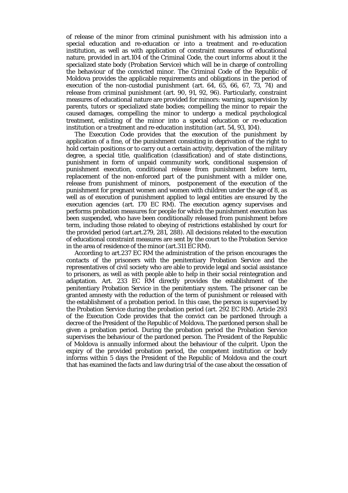of release of the minor from criminal punishment with his admission into a special education and re-education or into a treatment and re-education institution, as well as with application of constraint measures of educational nature, provided in art.104 of the Criminal Code, the court informs about it the specialized state body (Probation Service) which will be in charge of controlling the behaviour of the convicted minor. The Criminal Code of the Republic of Moldova provides the applicable requirements and obligations in the period of execution of the non-custodial punishment (art. 64, 65, 66, 67, 73, 74) and release from criminal punishment (art. 90, 91, 92, 96). Particularly, constraint measures of educational nature are provided for minors: warning, supervision by parents, tutors or specialized state bodies; compelling the minor to repair the caused damages, compelling the minor to undergo a medical psychological treatment, enlisting of the minor into a special education or re-education institution or a treatment and re-education institution (art. 54, 93, 104).

 The Execution Code provides that the execution of the punishment by application of a fine, of the punishment consisting in deprivation of the right to hold certain positions or to carry out a certain activity, deprivation of the military degree, a special title, qualification (classification) and of state distinctions, punishment in form of unpaid community work, conditional suspension of punishment execution, conditional release from punishment before term, replacement of the non-enforced part of the punishment with a milder one, release from punishment of minors, postponement of the execution of the punishment for pregnant women and women with children under the age of 8, as well as of execution of punishment applied to legal entities are ensured by the execution agencies (art. 170 EC RM). The execution agency supervises and performs probation measures for people for which the punishment execution has been suspended, who have been conditionally released from punishment before term, including those related to obeying of restrictions established by court for the provided period (art.art.279, 281, 288). All decisions related to the execution of educational constraint measures are sent by the court to the Probation Service in the area of residence of the minor (art.311 EC RM).

 According to art.237 EC RM the administration of the prison encourages the contacts of the prisoners with the penitentiary Probation Service and the representatives of civil society who are able to provide legal and social assistance to prisoners, as well as with people able to help in their social reintegration and adaptation. Art. 233 EC RM directly provides the establishment of the penitentiary Probation Service in the penitentiary system. The prisoner can be granted amnesty with the reduction of the term of punishment or released with the establishment of a probation period. In this case, the person is supervised by the Probation Service during the probation period (art. 292 EC RM). Article 293 of the Execution Code provides that the convict can be pardoned through a decree of the President of the Republic of Moldova. The pardoned person shall be given a probation period. During the probation period the Probation Service supervises the behaviour of the pardoned person. The President of the Republic of Moldova is annually informed about the behaviour of the culprit. Upon the expiry of the provided probation period, the competent institution or body informs within 5 days the President of the Republic of Moldova and the court that has examined the facts and law during trial of the case about the cessation of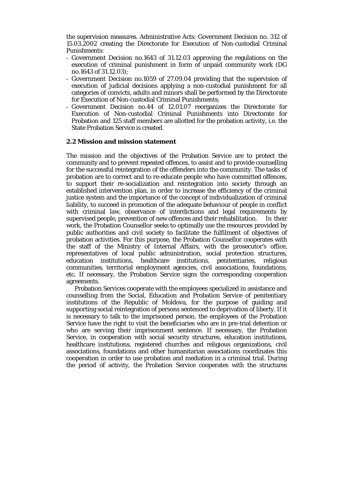the supervision measures. Administrative Acts: Government Decision no. 312 of 15.03.2002 creating the Directorate for Execution of Non-custodial Criminal Punishments:

- Government Decision no.1643 of 31.12.03 approving the regulations on the execution of criminal punishment in form of unpaid community work (DG no.1643 of 31.12.03);
- Government Decision no.1059 of 27.09.04 providing that the supervision of execution of judicial decisions applying a non-custodial punishment for all categories of convicts, adults and minors shall be performed by the Directorate for Execution of Non-custodial Criminal Punishments;
- Government Decision no.44 of 12.01.07 reorganizes the Directorate for Execution of Non-custodial Criminal Punishments into Directorate for Probation and 125 staff members are allotted for the probation activity, i.e. the State Probation Service is created.

#### **2.2 Mission and mission statement**

The mission and the objectives of the Probation Service are to protect the community and to prevent repeated offences, to assist and to provide counselling for the successful reintegration of the offenders into the community. The tasks of probation are to correct and to re-educate people who have committed offences, to support their re-socialization and reintegration into society through an established intervention plan, in order to increase the efficiency of the criminal justice system and the importance of the concept of individualization of criminal liability, to succeed in promotion of the adequate behaviour of people in conflict with criminal law, observance of interdictions and legal requirements by supervised people, prevention of new offences and their rehabilitation. In their work, the Probation Counsellor seeks to optimally use the resources provided by public authorities and civil society to facilitate the fulfilment of objectives of probation activities. For this purpose, the Probation Counsellor cooperates with the staff of the Ministry of Internal Affairs, with the prosecutor's office, representatives of local public administration, social protection structures, education institutions, healthcare institutions, penitentiaries, religious communities, territorial employment agencies, civil associations, foundations, etc. If necessary, the Probation Service signs the corresponding cooperation agreements.

 Probation Services cooperate with the employees specialized in assistance and counselling from the Social, Education and Probation Service of penitentiary institutions of the Republic of Moldova, for the purpose of guiding and supporting social reintegration of persons sentenced to deprivation of liberty. If it is necessary to talk to the imprisoned person, the employees of the Probation Service have the right to visit the beneficiaries who are in pre-trial detention or who are serving their imprisonment sentence. If necessary, the Probation Service, in cooperation with social security structures, education institutions, healthcare institutions, registered churches and religious organizations, civil associations, foundations and other humanitarian associations coordinates this cooperation in order to use probation and mediation in a criminal trial. During the period of activity, the Probation Service cooperates with the structures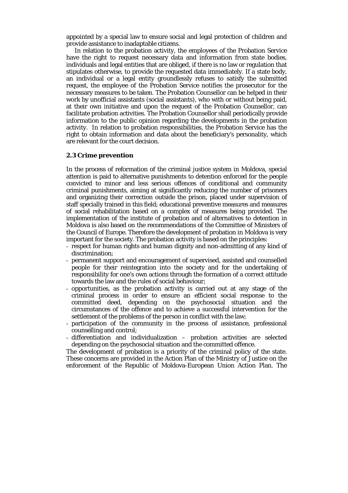appointed by a special law to ensure social and legal protection of children and provide assistance to inadaptable citizens.

 In relation to the probation activity, the employees of the Probation Service have the right to request necessary data and information from state bodies, individuals and legal entities that are obliged, if there is no law or regulation that stipulates otherwise, to provide the requested data immediately. If a state body, an individual or a legal entity groundlessly refuses to satisfy the submitted request, the employee of the Probation Service notifies the prosecutor for the necessary measures to be taken. The Probation Counsellor can be helped in their work by unofficial assistants (social assistants), who with or without being paid, at their own initiative and upon the request of the Probation Counsellor, can facilitate probation activities. The Probation Counsellor shall periodically provide information to the public opinion regarding the developments in the probation activity. In relation to probation responsibilities, the Probation Service has the right to obtain information and data about the beneficiary's personality, which are relevant for the court decision.

#### **2.3 Crime prevention**

In the process of reformation of the criminal justice system in Moldova, special attention is paid to alternative punishments to detention enforced for the people convicted to minor and less serious offences of conditional and community criminal punishments, aiming at significantly reducing the number of prisoners and organizing their correction outside the prison, placed under supervision of staff specially trained in this field; educational preventive measures and measures of social rehabilitation based on a complex of measures being provided. The implementation of the institute of probation and of alternatives to detention in Moldova is also based on the recommendations of the Committee of Ministers of the Council of Europe. Therefore the development of probation in Moldova is very important for the society. The probation activity is based on the principles:

- respect for human rights and human dignity and non-admitting of any kind of discrimination;
- permanent support and encouragement of supervised, assisted and counselled people for their reintegration into the society and for the undertaking of responsibility for one's own actions through the formation of a correct attitude towards the law and the rules of social behaviour;
- opportunities, as the probation activity is carried out at any stage of the criminal process in order to ensure an efficient social response to the committed deed, depending on the psychosocial situation and the circumstances of the offence and to achieve a successful intervention for the settlement of the problems of the person in conflict with the law;
- participation of the community in the process of assistance, professional counselling and control;
- differentiation and individualization probation activities are selected depending on the psychosocial situation and the committed offence.

The development of probation is a priority of the criminal policy of the state. These concerns are provided in the Action Plan of the Ministry of Justice on the enforcement of the Republic of Moldova-European Union Action Plan. The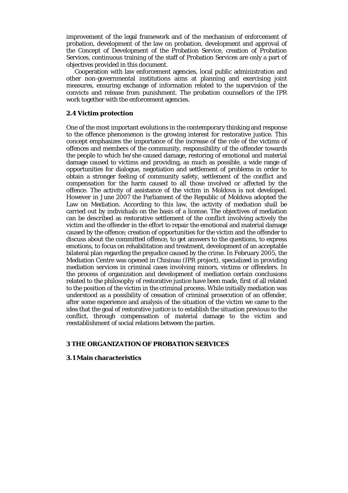improvement of the legal framework and of the mechanism of enforcement of probation, development of the law on probation, development and approval of the Concept of Development of the Probation Service, creation of Probation Services, continuous training of the staff of Probation Services are only a part of objectives provided in this document.

 Cooperation with law enforcement agencies, local public administration and other non-governmental institutions aims at planning and exercising joint measures, ensuring exchange of information related to the supervision of the convicts and release from punishment. The probation counsellors of the IPR work together with the enforcement agencies.

#### **2.4 Victim protection**

One of the most important evolutions in the contemporary thinking and response to the offence phenomenon is the growing interest for restorative justice. This concept emphasizes the importance of the increase of the role of the victims of offences and members of the community, responsibility of the offender towards the people to which he/she caused damage, restoring of emotional and material damage caused to victims and providing, as much as possible, a wide range of opportunities for dialogue, negotiation and settlement of problems in order to obtain a stronger feeling of community safety, settlement of the conflict and compensation for the harm caused to all those involved or affected by the offence. The activity of assistance of the victim in Moldova is not developed. However in June 2007 the Parliament of the Republic of Moldova adopted the Law on Mediation. According to this law, the activity of mediation shall be carried out by individuals on the basis of a license. The objectives of mediation can be described as restorative settlement of the conflict involving actively the victim and the offender in the effort to repair the emotional and material damage caused by the offence; creation of opportunities for the victim and the offender to discuss about the committed offence, to get answers to the questions, to express emotions, to focus on rehabilitation and treatment, development of an acceptable bilateral plan regarding the prejudice caused by the crime. In February 2005, the Mediation Centre was opened in Chisinau (IPR project), specialized in providing mediation services in criminal cases involving minors, victims or offenders. In the process of organization and development of mediation certain conclusions related to the philosophy of restorative justice have been made, first of all related to the position of the victim in the criminal process. While initially mediation was understood as a possibility of cessation of criminal prosecution of an offender, after some experience and analysis of the situation of the victim we came to the idea that the goal of restorative justice is to establish the situation previous to the conflict, through compensation of material damage to the victim and reestablishment of social relations between the parties.

#### **3 THE ORGANIZATION OF PROBATION SERVICES**

#### **3.1 Main characteristics**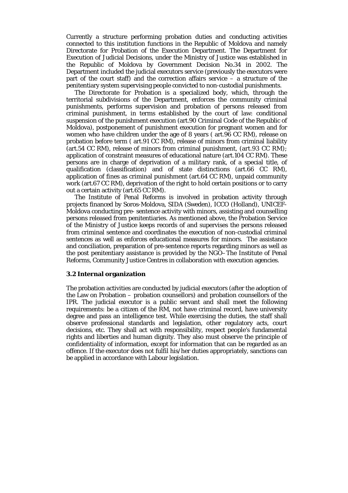Currently a structure performing probation duties and conducting activities connected to this institution functions in the Republic of Moldova and namely Directorate for Probation of the Execution Department. The Department for Execution of Judicial Decisions, under the Ministry of Justice was established in the Republic of Moldova by Government Decision No.34 in 2002. The Department included the judicial executors service (previously the executors were part of the court staff) and the correction affairs service – a structure of the penitentiary system supervising people convicted to non-custodial punishments.

 The Directorate for Probation is a specialized body, which, through the territorial subdivisions of the Department, enforces the community criminal punishments, performs supervision and probation of persons released from criminal punishment, in terms established by the court of law: conditional suspension of the punishment execution (art.90 Criminal Code of the Republic of Moldova), postponement of punishment execution for pregnant women and for women who have children under the age of 8 years ( art.96 CC RM), release on probation before term ( art.91 CC RM), release of minors from criminal liability (art.54 CC RM), release of minors from criminal punishment, (art.93 CC RM); application of constraint measures of educational nature (art.104 CC RM). These persons are in charge of deprivation of a military rank, of a special title, of qualification (classification) and of state distinctions (art.66 CC RM), application of fines as criminal punishment (art.64 CC RM), unpaid community work (art.67 CC RM), deprivation of the right to hold certain positions or to carry out a certain activity (art.65 CC RM).

 The Institute of Penal Reforms is involved in probation activity through projects financed by Soros-Moldova, SIDA (Sweden), ICCO (Holland), UNICEF-Moldova conducting pre- sentence activity with minors, assisting and counselling persons released from penitentiaries. As mentioned above, the Probation Service of the Ministry of Justice keeps records of and supervises the persons released from criminal sentence and coordinates the execution of non-custodial criminal sentences as well as enforces educational measures for minors. The assistance and conciliation, preparation of pre-sentence reports regarding minors as well as the post penitentiary assistance is provided by the NGO–The Institute of Penal Reforms, Community Justice Centres in collaboration with execution agencies.

#### **3.2 Internal organization**

The probation activities are conducted by judicial executors (after the adoption of the Law on Probation – probation counsellors) and probation counsellors of the IPR. The judicial executor is a public servant and shall meet the following requirements: be a citizen of the RM, not have criminal record, have university degree and pass an intelligence test. While exercising the duties, the staff shall observe professional standards and legislation, other regulatory acts, court decisions, etc. They shall act with responsibility, respect people's fundamental rights and liberties and human dignity. They also must observe the principle of confidentiality of information, except for information that can be regarded as an offence. If the executor does not fulfil his/her duties appropriately, sanctions can be applied in accordance with Labour legislation.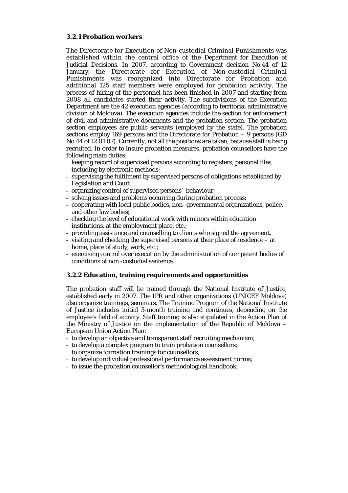#### **3.2.1 Probation workers**

The Directorate for Execution of Non-custodial Criminal Punishments was established within the central office of the Department for Execution of Judicial Decisions. In 2007, according to Government decision No.44 of 12 January, the Directorate for Execution of Non-custodial Criminal Punishments was reorganized into Directorate for Probation and additional 125 staff members were employed for probation activity. The process of hiring of the personnel has been finished in 2007 and starting from 2008 all candidates started their activity. The subdivisions of the Execution Department are the 42 execution agencies (according to territorial administrative division of Moldova). The execution agencies include the section for enforcement of civil and administrative documents and the probation section. The probation section employees are public servants (employed by the state). The probation sections employ 169 persons and the Directorate for Probation – 9 persons (GD No.44 of 12.01.07). Currently, not all the positions are taken, because staff is being recruited. In order to insure probation measures, probation counsellors have the following main duties:

- keeping record of supervised persons according to registers, personal files, including by electronic methods;
- supervising the fulfilment by supervised persons of obligations established by Legislation and Court;
- organizing control of supervised persons` behaviour;
- solving issues and problems occurring during probation process;
- cooperating with local public bodies, non- governmental organizations, police, and other law bodies;
- checking the level of educational work with minors within education institutions, at the employment place, etc.;
- providing assistance and counselling to clients who signed the agreement.
- visiting and checking the supervised persons at their place of residence at home, place of study, work, etc.;
- exercising control over execution by the administration of competent bodies of conditions of non -custodial sentence.

## **3.2.2 Education, training requirements and opportunities**

The probation staff will be trained through the National Institute of Justice, established early in 2007. The IPR and other organizations (UNICEF Moldova) also organize trainings, seminars. The Training Program of the National Institute of Justice includes initial 3-month training and continues, depending on the employee's field of activity. Staff training is also stipulated in the Action Plan of the Ministry of Justice on the implementation of the Republic of Moldova – European Union Action Plan:

- to develop an objective and transparent staff recruiting mechanism;
- to develop a complex program to train probation counsellors;
- to organize formation trainings for counsellors;
- to develop individual professional performance assessment norms;
- to issue the probation counsellor's methodological handbook;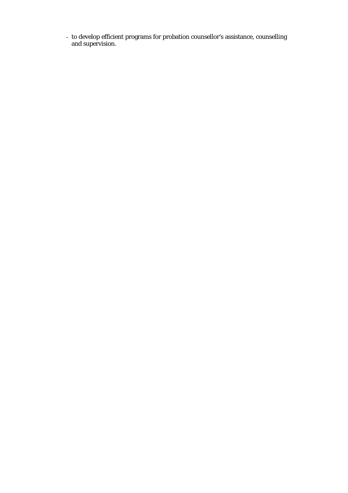- to develop efficient programs for probation counsellor's assistance, counselling and supervision.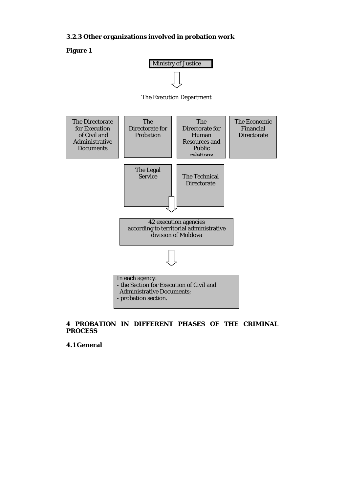## **3.2.3 Other organizations involved in probation work**

## **Figure 1**



The Execution Department



## **4 PROBATION IN DIFFERENT PHASES OF THE CRIMINAL PROCESS**

**4.1 General**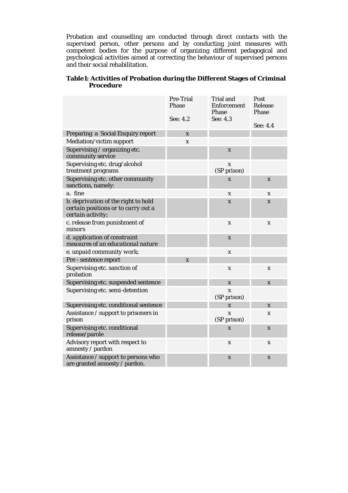Probation and counselling are conducted through direct contacts with the supervised person, other persons and by conducting joint measures with competent bodies for the purpose of organizing different pedagogical and psychological activities aimed at correcting the behaviour of supervised persons and their social rehabilitation.

|           | <b>Table1: Activities of Probation during the Different Stages of Criminal</b> |
|-----------|--------------------------------------------------------------------------------|
| Procedure |                                                                                |

|                                                                                                 | Pre-Trial<br>Phase<br>See: 4.2 | <b>Trial and</b><br><b>Enforcement</b><br>Phase<br>See: 4.3 | Post<br>Release<br>Phase  |
|-------------------------------------------------------------------------------------------------|--------------------------------|-------------------------------------------------------------|---------------------------|
|                                                                                                 |                                |                                                             | See: 4.4                  |
| Preparing a Social Enquiry report                                                               | $\mathbf{x}$                   |                                                             |                           |
| Mediation/victim support                                                                        | $\mathbf x$                    |                                                             |                           |
| Supervising / organizing etc.<br>community service                                              |                                | X                                                           |                           |
| Supervising etc. drug/alcohol<br>treatment programs                                             |                                | X<br>(SP prison)                                            |                           |
| Supervising etc. other community<br>sanctions, namely:                                          |                                | $\mathbf x$                                                 | $\boldsymbol{\mathrm{X}}$ |
| a. fine                                                                                         |                                | X                                                           | X                         |
| b. deprivation of the right to hold<br>certain positions or to carry out a<br>certain activity; |                                | $\boldsymbol{\mathrm{X}}$                                   | $\boldsymbol{\mathrm{X}}$ |
| c. release from punishment of<br>minors                                                         |                                | X                                                           | X                         |
| d. application of constraint<br>measures of an educational nature                               |                                | $\boldsymbol{\mathrm{X}}$                                   |                           |
| e. unpaid community work;                                                                       |                                | $\mathbf x$                                                 |                           |
| Pre - sentence report                                                                           | $\mathbf{x}$                   |                                                             |                           |
| Supervising etc. sanction of<br>probation                                                       |                                | $\mathbf x$                                                 | $\mathbf x$               |
| Supervising etc. suspended sentence                                                             |                                | $\mathbf{x}$                                                | $\mathbf x$               |
| Supervising etc. semi-detention                                                                 |                                | X<br>(SP prison)                                            |                           |
| Supervising etc. conditional sentence                                                           |                                | $\mathbf{x}$                                                | $\mathbf x$               |
| Assistance / support to prisoners in<br>prison                                                  |                                | X<br>(SP prison)                                            | $\boldsymbol{\mathrm{X}}$ |
| Supervising etc. conditional<br>release/parole                                                  |                                | $\mathbf x$                                                 | X                         |
| Advisory report with respect to<br>amnesty / pardon                                             |                                | $\mathbf X$                                                 | $\boldsymbol{\mathrm{X}}$ |
| Assistance / support to persons who<br>are granted amnesty / pardon.                            |                                | X                                                           | X                         |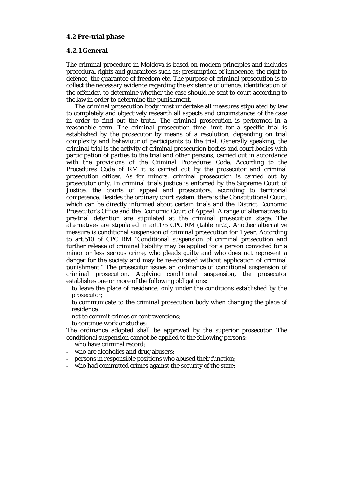#### **4.2 Pre-trial phase**

#### **4.2.1 General**

The criminal procedure in Moldova is based on modern principles and includes procedural rights and guarantees such as: presumption of innocence, the right to defence, the guarantee of freedom etc. The purpose of criminal prosecution is to collect the necessary evidence regarding the existence of offence, identification of the offender, to determine whether the case should be sent to court according to the law in order to determine the punishment.

 The criminal prosecution body must undertake all measures stipulated by law to completely and objectively research all aspects and circumstances of the case in order to find out the truth. The criminal prosecution is performed in a reasonable term. The criminal prosecution time limit for a specific trial is established by the prosecutor by means of a resolution, depending on trial complexity and behaviour of participants to the trial. Generally speaking, the criminal trial is the activity of criminal prosecution bodies and court bodies with participation of parties to the trial and other persons, carried out in accordance with the provisions of the Criminal Procedures Code. According to the Procedures Code of RM it is carried out by the prosecutor and criminal prosecution officer. As for minors, criminal prosecution is carried out by prosecutor only. In criminal trials justice is enforced by the Supreme Court of Justice, the courts of appeal and prosecutors, according to territorial competence. Besides the ordinary court system, there is the Constitutional Court, which can be directly informed about certain trials and the District Economic Prosecutor's Office and the Economic Court of Appeal. A range of alternatives to pre-trial detention are stipulated at the criminal prosecution stage. The alternatives are stipulated in art.175 CPC RM (table nr.2). Another alternative measure is conditional suspension of criminal prosecution for 1 year. According to art.510 of CPC RM "Conditional suspension of criminal prosecution and further release of criminal liability may be applied for a person convicted for a minor or less serious crime, who pleads guilty and who does not represent a danger for the society and may be re-educated without application of criminal punishment." The prosecutor issues an ordinance of conditional suspension of criminal prosecution. Applying conditional suspension, the prosecutor establishes one or more of the following obligations:

- to leave the place of residence, only under the conditions established by the prosecutor;
- to communicate to the criminal prosecution body when changing the place of residence;
- not to commit crimes or contraventions;
- to continue work or studies;

The ordinance adopted shall be approved by the superior prosecutor. The conditional suspension cannot be applied to the following persons:

- who have criminal record;
- who are alcoholics and drug abusers;
- persons in responsible positions who abused their function;
- who had committed crimes against the security of the state;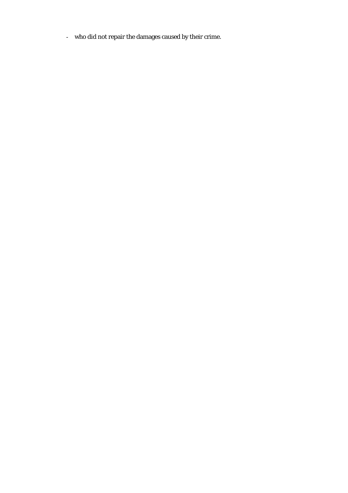- who did not repair the damages caused by their crime.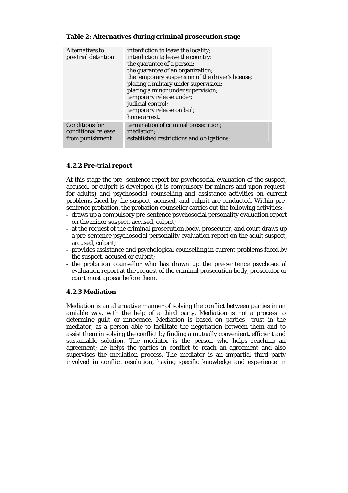## **Table 2: Alternatives during criminal prosecution stage**

| Alternatives to<br>pre-trial detention                          | interdiction to leave the locality;<br>interdiction to leave the country;<br>the guarantee of a person;<br>the guarantee of an organization;<br>the temporary suspension of the driver's license;<br>placing a military under supervision;<br>placing a minor under supervision;<br>temporary release under;<br>judicial control;<br>temporary release on bail;<br>home arrest. |
|-----------------------------------------------------------------|---------------------------------------------------------------------------------------------------------------------------------------------------------------------------------------------------------------------------------------------------------------------------------------------------------------------------------------------------------------------------------|
|                                                                 |                                                                                                                                                                                                                                                                                                                                                                                 |
| <b>Conditions for</b><br>conditional release<br>from punishment | termination of criminal prosecution;<br>mediation;<br>established restrictions and obligations;                                                                                                                                                                                                                                                                                 |

## **4.2.2 Pre-trial report**

At this stage the pre- sentence report for psychosocial evaluation of the suspect, accused, or culprit is developed (it is compulsory for minors and upon requestfor adults) and psychosocial counselling and assistance activities on current problems faced by the suspect, accused, and culprit are conducted. Within presentence probation, the probation counsellor carries out the following activities:

- draws up a compulsory pre-sentence psychosocial personality evaluation report on the minor suspect, accused, culprit;
- at the request of the criminal prosecution body, prosecutor, and court draws up a pre-sentence psychosocial personality evaluation report on the adult suspect, accused, culprit;
- provides assistance and psychological counselling in current problems faced by the suspect, accused or culprit;
- the probation counsellor who has drawn up the pre-sentence psychosocial evaluation report at the request of the criminal prosecution body, prosecutor or court must appear before them.

## **4.2.3 Mediation**

Mediation is an alternative manner of solving the conflict between parties in an amiable way, with the help of a third party. Mediation is not a process to determine guilt or innocence. Mediation is based on parties` trust in the mediator, as a person able to facilitate the negotiation between them and to assist them in solving the conflict by finding a mutually convenient, efficient and sustainable solution. The mediator is the person who helps reaching an agreement; he helps the parties in conflict to reach an agreement and also supervises the mediation process. The mediator is an impartial third party involved in conflict resolution, having specific knowledge and experience in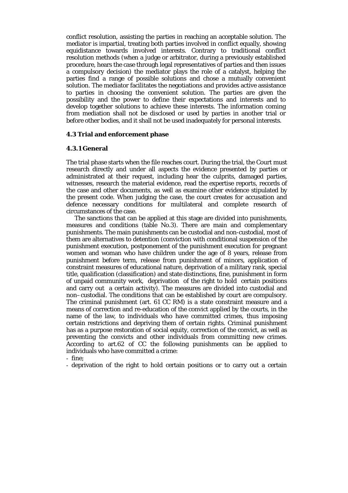conflict resolution, assisting the parties in reaching an acceptable solution. The mediator is impartial, treating both parties involved in conflict equally, showing equidistance towards involved interests. Contrary to traditional conflict resolution methods (when a judge or arbitrator, during a previously established procedure, hears the case through legal representatives of parties and then issues a compulsory decision) the mediator plays the role of a catalyst, helping the parties find a range of possible solutions and chose a mutually convenient solution. The mediator facilitates the negotiations and provides active assistance to parties in choosing the convenient solution. The parties are given the possibility and the power to define their expectations and interests and to develop together solutions to achieve these interests. The information coming from mediation shall not be disclosed or used by parties in another trial or before other bodies, and it shall not be used inadequately for personal interests.

#### **4.3 Trial and enforcement phase**

#### **4.3.1 General**

The trial phase starts when the file reaches court. During the trial, the Court must research directly and under all aspects the evidence presented by parties or administrated at their request, including hear the culprits, damaged parties, witnesses, research the material evidence, read the expertise reports, records of the case and other documents, as well as examine other evidence stipulated by the present code. When judging the case, the court creates for accusation and defence necessary conditions for multilateral and complete research of circumstances of the case.

 The sanctions that can be applied at this stage are divided into punishments, measures and conditions (table No.3). There are main and complementary punishments. The main punishments can be custodial and non-custodial, most of them are alternatives to detention (conviction with conditional suspension of the punishment execution, postponement of the punishment execution for pregnant women and woman who have children under the age of 8 years, release from punishment before term, release from punishment of minors, application of constraint measures of educational nature, deprivation of a military rank, special title, qualification (classification) and state distinctions, fine, punishment in form of unpaid community work, deprivation of the right to hold certain positions and carry out a certain activity). The measures are divided into custodial and non–custodial. The conditions that can be established by court are compulsory. The criminal punishment (art. 61 CC RM) is a state constraint measure and a means of correction and re-education of the convict applied by the courts, in the name of the law, to individuals who have committed crimes, thus imposing certain restrictions and depriving them of certain rights. Criminal punishment has as a purpose restoration of social equity, correction of the convict, as well as preventing the convicts and other individuals from committing new crimes. According to art.62 of CC the following punishments can be applied to individuals who have committed a crime:

- fine;

- deprivation of the right to hold certain positions or to carry out a certain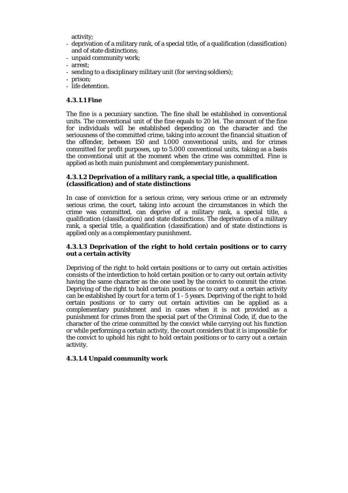activity;

- deprivation of a military rank, of a special title, of a qualification (classification) and of state distinctions;
- unpaid community work;
- arrest;
- sending to a disciplinary military unit (for serving soldiers);
- prison;
- life detention.

## **4.3.1.1 Fine**

The fine is a pecuniary sanction. The fine shall be established in conventional units. The conventional unit of the fine equals to 20 lei. The amount of the fine for individuals will be established depending on the character and the seriousness of the committed crime, taking into account the financial situation of the offender, between 150 and 1.000 conventional units, and for crimes committed for profit purposes, up to 5.000 conventional units, taking as a basis the conventional unit at the moment when the crime was committed. Fine is applied as both main punishment and complementary punishment.

## **4.3.1.2 Deprivation of a military rank, a special title, a qualification (classification) and of state distinctions**

In case of conviction for a serious crime, very serious crime or an extremely serious crime, the court, taking into account the circumstances in which the crime was committed, can deprive of a military rank, a special title, a qualification (classification) and state distinctions. The deprivation of a military rank, a special title, a qualification (classification) and of state distinctions is applied only as a complementary punishment.

## **4.3.1.3 Deprivation of the right to hold certain positions or to carry out a certain activity**

Depriving of the right to hold certain positions or to carry out certain activities consists of the interdiction to hold certain position or to carry out certain activity having the same character as the one used by the convict to commit the crime. Depriving of the right to hold certain positions or to carry out a certain activity can be established by court for a term of 1 - 5 years. Depriving of the right to hold certain positions or to carry out certain activities can be applied as a complementary punishment and in cases when it is not provided as a punishment for crimes from the special part of the Criminal Code, if, due to the character of the crime committed by the convict while carrying out his function or while performing a certain activity, the court considers that it is impossible for the convict to uphold his right to hold certain positions or to carry out a certain activity.

## **4.3.1.4 Unpaid community work**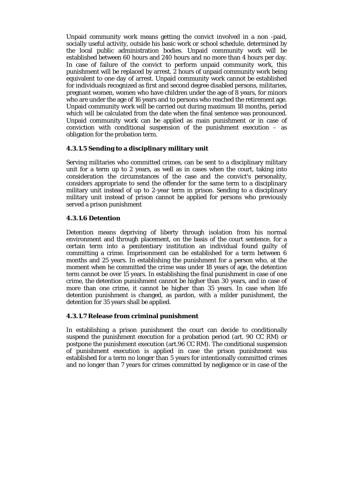Unpaid community work means getting the convict involved in a non -paid, socially useful activity, outside his basic work or school schedule, determined by the local public administration bodies. Unpaid community work will be established between 60 hours and 240 hours and no more than 4 hours per day. In case of failure of the convict to perform unpaid community work, this punishment will be replaced by arrest, 2 hours of unpaid community work being equivalent to one day of arrest. Unpaid community work cannot be established for individuals recognized as first and second degree disabled persons, militaries, pregnant women, women who have children under the age of 8 years, for minors who are under the age of 16 years and to persons who reached the retirement age. Unpaid community work will be carried out during maximum 18 months, period which will be calculated from the date when the final sentence was pronounced. Unpaid community work can be applied as main punishment or in case of conviction with conditional suspension of the punishment execution  $-$  as obligation for the probation term.

## **4.3.1.5 Sending to a disciplinary military unit**

Serving militaries who committed crimes, can be sent to a disciplinary military unit for a term up to 2 years, as well as in cases when the court, taking into consideration the circumstances of the case and the convict's personality, considers appropriate to send the offender for the same term to a disciplinary military unit instead of up to 2-year term in prison. Sending to a disciplinary military unit instead of prison cannot be applied for persons who previously served a prison punishment

## **4.3.1.6 Detention**

Detention means depriving of liberty through isolation from his normal environment and through placement, on the basis of the court sentence, for a certain term into a penitentiary institution an individual found guilty of committing a crime. Imprisonment can be established for a term between 6 months and 25 years. In establishing the punishment for a person who, at the moment when he committed the crime was under 18 years of age, the detention term cannot be over 15 years. In establishing the final punishment in case of one crime, the detention punishment cannot be higher than 30 years, and in case of more than one crime, it cannot be higher than 35 years. In case when life detention punishment is changed, as pardon, with a milder punishment, the detention for 35 years shall be applied.

## **4.3.1.7 Release from criminal punishment**

In establishing a prison punishment the court can decide to conditionally suspend the punishment execution for a probation period (art. 90 CC RM) or postpone the punishment execution (art.96 CC RM). The conditional suspension of punishment execution is applied in case the prison punishment was established for a term no longer than 5 years for intentionally committed crimes and no longer than 7 years for crimes committed by negligence or in case of the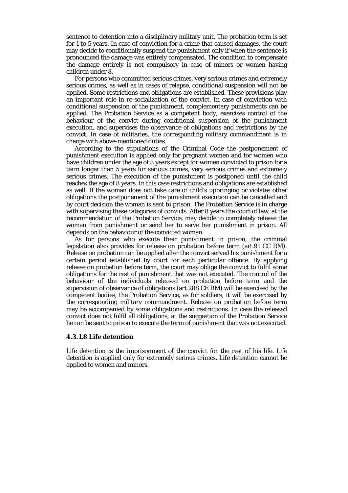sentence to detention into a disciplinary military unit. The probation term is set for 1 to 5 years. In case of conviction for a crime that caused damages, the court may decide to conditionally suspend the punishment only if when the sentence is pronounced the damage was entirely compensated. The condition to compensate the damage entirely is not compulsory in case of minors or women having children under 8.

 For persons who committed serious crimes, very serious crimes and extremely serious crimes, as well as in cases of relapse, conditional suspension will not be applied. Some restrictions and obligations are established. These provisions play an important role in re-socialization of the convict. In case of conviction with conditional suspension of the punishment, complementary punishments can be applied. The Probation Service as a competent body, exercises control of the behaviour of the convict during conditional suspension of the punishment execution, and supervises the observance of obligations and restrictions by the convict. In case of militaries, the corresponding military commandment is in charge with above-mentioned duties.

 According to the stipulations of the Criminal Code the postponement of punishment execution is applied only for pregnant women and for women who have children under the age of 8 years except for women convicted to prison for a term longer than 5 years for serious crimes, very serious crimes and extremely serious crimes. The execution of the punishment is postponed until the child reaches the age of 8 years. In this case restrictions and obligations are established as well. If the woman does not take care of child's upbringing or violates other obligations the postponement of the punishment execution can be cancelled and by court decision the woman is sent to prison. The Probation Service is in charge with supervising these categories of convicts. After 8 years the court of law, at the recommendation of the Probation Service, may decide to completely release the woman from punishment or send her to serve her punishment in prison. All depends on the behaviour of the convicted woman.

 As for persons who execute their punishment in prison, the criminal legislation also provides for release on probation before term (art.91 CC RM). Release on probation can be applied after the convict served his punishment for a certain period established by court for each particular offence. By applying release on probation before term, the court may oblige the convict to fulfil some obligations for the rest of punishment that was not executed. The control of the behaviour of the individuals released on probation before term and the supervision of observance of obligations (art.288 CE RM) will be exercised by the competent bodies, the Probation Service, as for soldiers, it will be exercised by the corresponding military commandment. Release on probation before term may be accompanied by some obligations and restrictions. In case the released convict does not fulfil all obligations, at the suggestion of the Probation Service he can be sent to prison to execute the term of punishment that was not executed.

#### **4.3.1.8 Life detention**

Life detention is the imprisonment of the convict for the rest of his life. Life detention is applied only for extremely serious crimes. Life detention cannot be applied to women and minors.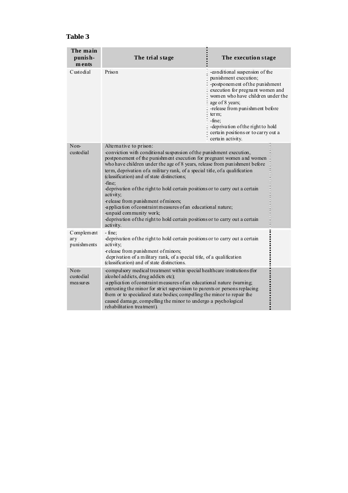## **Table 3**

| The main<br>punish-<br>m ents     | The trial stage                                                                                                                                                                                                                                                                                                                                                                                                                                                                                                                                                                                                                                                                                                              | The execution stage                                                                                                                                                                                                                                                                                                                               |
|-----------------------------------|------------------------------------------------------------------------------------------------------------------------------------------------------------------------------------------------------------------------------------------------------------------------------------------------------------------------------------------------------------------------------------------------------------------------------------------------------------------------------------------------------------------------------------------------------------------------------------------------------------------------------------------------------------------------------------------------------------------------------|---------------------------------------------------------------------------------------------------------------------------------------------------------------------------------------------------------------------------------------------------------------------------------------------------------------------------------------------------|
| Custodial                         | Prison                                                                                                                                                                                                                                                                                                                                                                                                                                                                                                                                                                                                                                                                                                                       | -conditional suspension of the<br>punishment execution;<br>-postponement of the punishment<br>execution for pregnant women and<br>women who have children under the<br>age of 8 years;<br>-release from punishment before<br>term;<br>$-fine$ :<br>-deprivation of the right to hold<br>certain positions or to carry out a<br>certa in activity. |
| Non-<br>custodial                 | Alternative to prison:<br>conviction with conditional suspension of the punishment execution,<br>postponement of the punishment execution for pregnant women and women<br>who have children under the age of 8 years, release from punishment before<br>term, deprivation of a military rank, of a special title, of a qualification<br>(classification) and of state distinctions;<br>-fine:<br>-deprivation of the right to hold certain positions or to carry out a certain<br>activity;<br>-release from punishment of minors;<br>-application of constraint measures of an educational nature;<br>-unpaid community work;<br>-deprivation of the right to hold certain positions or to carry out a certain<br>activity. |                                                                                                                                                                                                                                                                                                                                                   |
| Complement<br>ar y<br>punishments | - fine;<br>-deprivation of the right to hold certain positions or to carry out a certain<br>activity;<br>release from punishment of minors;<br>deprivation of a military rank, of a special title, of a qualification<br>(classification) and of state distinctions.                                                                                                                                                                                                                                                                                                                                                                                                                                                         |                                                                                                                                                                                                                                                                                                                                                   |
| Non-<br>custodial<br>measures     | compulsory medical treatment within special healthcare institutions (for<br>alcohol addicts, drug addicts etc);<br>application of constraint measures of an educational nature (warning;<br>entrusting the minor for strict supervision to parents or persons replacing<br>them or to specialized state bodies; compelling the minor to repair the<br>caused dama ge, compelling the minor to undergo a psychological<br>rehabilitation treatment).                                                                                                                                                                                                                                                                          |                                                                                                                                                                                                                                                                                                                                                   |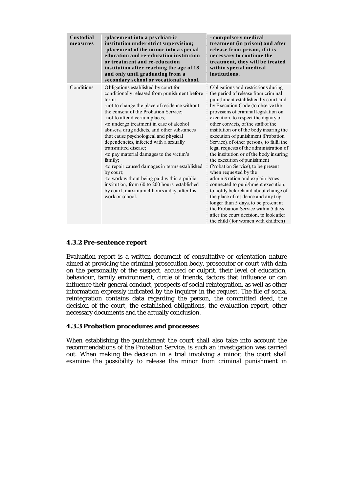| Custodial<br>measures | -placement into a psychiatric<br>institution under strict supervision;<br>-placement of the minor into a special<br>education and re-education institution<br>or treatment and re-education<br>institution after reaching the age of 18<br>and only until graduating from a<br>secondary school or vocational school.                                                                                                                                                                                                                                                                                                                                                                                                    | - compulsory medical<br>treatment (in prison) and after<br>release from prison, if it is<br>necessary to continue the<br>treatment, they will be treated<br>within special medical<br>institutions.                                                                                                                                                                                                                                                                                                                                                                                                                                                                                                                                                                                                                                                                                                                          |
|-----------------------|--------------------------------------------------------------------------------------------------------------------------------------------------------------------------------------------------------------------------------------------------------------------------------------------------------------------------------------------------------------------------------------------------------------------------------------------------------------------------------------------------------------------------------------------------------------------------------------------------------------------------------------------------------------------------------------------------------------------------|------------------------------------------------------------------------------------------------------------------------------------------------------------------------------------------------------------------------------------------------------------------------------------------------------------------------------------------------------------------------------------------------------------------------------------------------------------------------------------------------------------------------------------------------------------------------------------------------------------------------------------------------------------------------------------------------------------------------------------------------------------------------------------------------------------------------------------------------------------------------------------------------------------------------------|
| Conditions            | Obligations established by court for<br>conditionally released from punishment before<br>term:<br>-not to change the place of residence without<br>the consent of the Probation Service;<br>-not to attend certain places;<br>-to undergo treatment in case of alcohol<br>abusers, drug addicts, and other substances<br>that cause psychological and physical<br>dependencies, infected with a sexually<br>transmitted disease;<br>-to pay material damages to the victim's<br>family;<br>-to repair caused damages in terms established<br>by court;<br>-to work without being paid within a public<br>institution, from 60 to 200 hours, established<br>by court, maximum 4 hours a day, after his<br>work or school. | Obligations and restrictions during<br>the period of release from criminal<br>punishment established by court and<br>by Execution Code (to observe the<br>provisions of criminal legislation on<br>execution, to respect the dignity of<br>other convicts, of the staff of the<br>institution or of the body insuring the<br>execution of punishment (Probation<br>Service), of other persons, to fulfil the<br>legal requests of the administration of<br>the institution or of the body insuring<br>the execution of punishment<br>(Probation Service), to be present<br>when requested by the<br>administration and explain issues<br>connected to punishment execution,<br>to notify beforehand about change of<br>the place of residence and any trip<br>longer than 5 days, to be present at<br>the Probation Service within 5 days<br>after the court decision, to look after<br>the child (for women with children). |

## **4.3.2 Pre-sentence report**

Evaluation report is a written document of consultative or orientation nature aimed at providing the criminal prosecution body, prosecutor or court with data on the personality of the suspect, accused or culprit, their level of education, behaviour, family environment, circle of friends, factors that influence or can influence their general conduct, prospects of social reintegration, as well as other information expressly indicated by the inquirer in the request. The file of social reintegration contains data regarding the person, the committed deed, the decision of the court, the established obligations, the evaluation report, other necessary documents and the actually conclusion.

## **4.3.3 Probation procedures and processes**

When establishing the punishment the court shall also take into account the recommendations of the Probation Service, is such an investigation was carried out. When making the decision in a trial involving a minor, the court shall examine the possibility to release the minor from criminal punishment in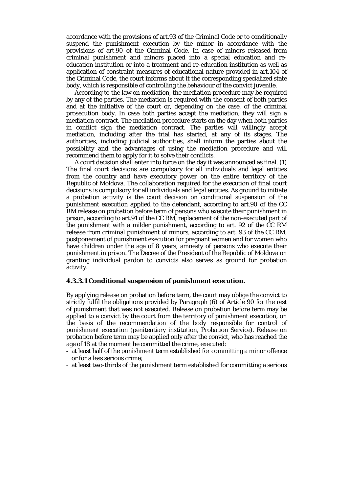accordance with the provisions of art.93 of the Criminal Code or to conditionally suspend the punishment execution by the minor in accordance with the provisions of art.90 of the Criminal Code. In case of minors released from criminal punishment and minors placed into a special education and reeducation institution or into a treatment and re-education institution as well as application of constraint measures of educational nature provided in art.104 of the Criminal Code, the court informs about it the corresponding specialized state body, which is responsible of controlling the behaviour of the convict juvenile.

 According to the law on mediation, the mediation procedure may be required by any of the parties. The mediation is required with the consent of both parties and at the initiative of the court or, depending on the case, of the criminal prosecution body. In case both parties accept the mediation, they will sign a mediation contract. The mediation procedure starts on the day when both parties in conflict sign the mediation contract. The parties will willingly accept mediation, including after the trial has started, at any of its stages. The authorities, including judicial authorities, shall inform the parties about the possibility and the advantages of using the mediation procedure and will recommend them to apply for it to solve their conflicts.

 A court decision shall enter into force on the day it was announced as final. (1) The final court decisions are compulsory for all individuals and legal entities from the country and have executory power on the entire territory of the Republic of Moldova. The collaboration required for the execution of final court decisions is compulsory for all individuals and legal entities. As ground to initiate a probation activity is the court decision on conditional suspension of the punishment execution applied to the defendant, according to art.90 of the CC RM release on probation before term of persons who execute their punishment in prison, according to art.91 of the CC RM, replacement of the non-executed part of the punishment with a milder punishment, according to art. 92 of the CC RM release from criminal punishment of minors, according to art. 93 of the CC RM, postponement of punishment execution for pregnant women and for women who have children under the age of 8 years, amnesty of persons who execute their punishment in prison. The Decree of the President of the Republic of Moldova on granting individual pardon to convicts also serves as ground for probation activity.

#### **4.3.3.1 Conditional suspension of punishment execution.**

By applying release on probation before term, the court may oblige the convict to strictly fulfil the obligations provided by Paragraph (6) of Article 90 for the rest of punishment that was not executed. Release on probation before term may be applied to a convict by the court from the territory of punishment execution, on the basis of the recommendation of the body responsible for control of punishment execution (penitentiary institution, Probation Service). Release on probation before term may be applied only after the convict, who has reached the age of 18 at the moment he committed the crime, executed:

- at least half of the punishment term established for committing a minor offence or for a less serious crime;
- at least two-thirds of the punishment term established for committing a serious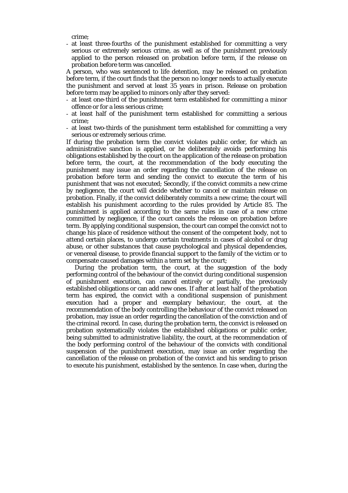crime;

- at least three-fourths of the punishment established for committing a very serious or extremely serious crime, as well as of the punishment previously applied to the person released on probation before term, if the release on probation before term was cancelled.

A person, who was sentenced to life detention, may be released on probation before term, if the court finds that the person no longer needs to actually execute the punishment and served at least 35 years in prison. Release on probation before term may be applied to minors only after they served:

- at least one-third of the punishment term established for committing a minor offence or for a less serious crime;
- at least half of the punishment term established for committing a serious crime;
- at least two-thirds of the punishment term established for committing a very serious or extremely serious crime.

If during the probation term the convict violates public order, for which an administrative sanction is applied, or he deliberately avoids performing his obligations established by the court on the application of the release on probation before term, the court, at the recommendation of the body executing the punishment may issue an order regarding the cancellation of the release on probation before term and sending the convict to execute the term of his punishment that was not executed; Secondly, if the convict commits a new crime by negligence, the court will decide whether to cancel or maintain release on probation. Finally, if the convict deliberately commits a new crime; the court will establish his punishment according to the rules provided by Article 85. The punishment is applied according to the same rules in case of a new crime committed by negligence, if the court cancels the release on probation before term. By applying conditional suspension, the court can compel the convict not to change his place of residence without the consent of the competent body, not to attend certain places, to undergo certain treatments in cases of alcohol or drug abuse, or other substances that cause psychological and physical dependencies, or venereal disease, to provide financial support to the family of the victim or to compensate caused damages within a term set by the court;

 During the probation term, the court, at the suggestion of the body performing control of the behaviour of the convict during conditional suspension of punishment execution, can cancel entirely or partially, the previously established obligations or can add new ones. If after at least half of the probation term has expired, the convict with a conditional suspension of punishment execution had a proper and exemplary behaviour, the court, at the recommendation of the body controlling the behaviour of the convict released on probation, may issue an order regarding the cancellation of the conviction and of the criminal record. In case, during the probation term, the convict is released on probation systematically violates the established obligations or public order, being submitted to administrative liability, the court, at the recommendation of the body performing control of the behaviour of the convicts with conditional suspension of the punishment execution, may issue an order regarding the cancellation of the release on probation of the convict and his sending to prison to execute his punishment, established by the sentence. In case when, during the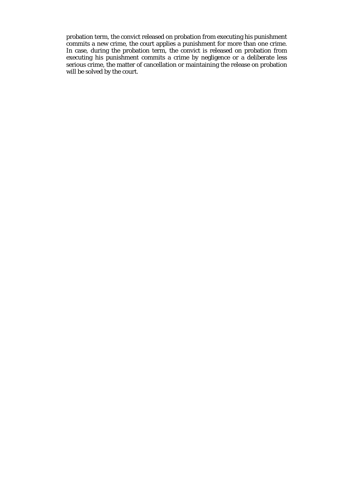probation term, the convict released on probation from executing his punishment commits a new crime, the court applies a punishment for more than one crime. In case, during the probation term, the convict is released on probation from executing his punishment commits a crime by negligence or a deliberate less serious crime, the matter of cancellation or maintaining the release on probation will be solved by the court.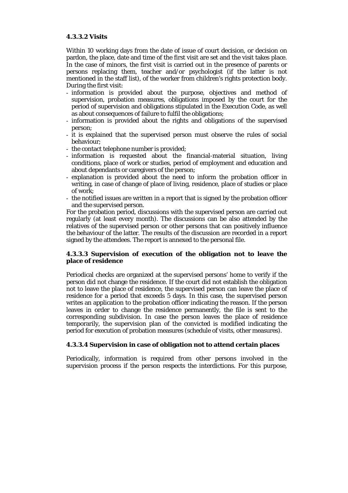#### **4.3.3.2 Visits**

Within 10 working days from the date of issue of court decision, or decision on pardon, the place, date and time of the first visit are set and the visit takes place. In the case of minors, the first visit is carried out in the presence of parents or persons replacing them, teacher and/or psychologist (if the latter is not mentioned in the staff list), of the worker from children's rights protection body. During the first visit:

- information is provided about the purpose, objectives and method of supervision, probation measures, obligations imposed by the court for the period of supervision and obligations stipulated in the Execution Code, as well as about consequences of failure to fulfil the obligations;
- information is provided about the rights and obligations of the supervised person;
- it is explained that the supervised person must observe the rules of social behaviour;
- the contact telephone number is provided;
- information is requested about the financial-material situation, living conditions, place of work or studies, period of employment and education and about dependants or caregivers of the person;
- explanation is provided about the need to inform the probation officer in writing, in case of change of place of living, residence, place of studies or place of work;
- the notified issues are written in a report that is signed by the probation officer and the supervised person.

For the probation period, discussions with the supervised person are carried out regularly (at least every month). The discussions can be also attended by the relatives of the supervised person or other persons that can positively influence the behaviour of the latter. The results of the discussion are recorded in a report signed by the attendees. The report is annexed to the personal file.

#### **4.3.3.3 Supervision of execution of the obligation not to leave the place of residence**

Periodical checks are organized at the supervised persons' home to verify if the person did not change the residence. If the court did not establish the obligation not to leave the place of residence, the supervised person can leave the place of residence for a period that exceeds 5 days. In this case, the supervised person writes an application to the probation officer indicating the reason. If the person leaves in order to change the residence permanently, the file is sent to the corresponding subdivision. In case the person leaves the place of residence temporarily, the supervision plan of the convicted is modified indicating the period for execution of probation measures (schedule of visits, other measures).

## **4.3.3.4 Supervision in case of obligation not to attend certain places**

Periodically, information is required from other persons involved in the supervision process if the person respects the interdictions. For this purpose,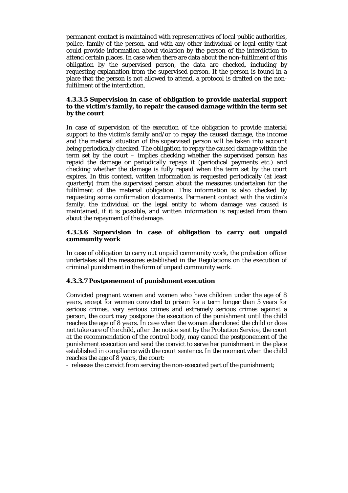permanent contact is maintained with representatives of local public authorities, police, family of the person, and with any other individual or legal entity that could provide information about violation by the person of the interdiction to attend certain places. In case when there are data about the non-fulfilment of this obligation by the supervised person, the data are checked, including by requesting explanation from the supervised person. If the person is found in a place that the person is not allowed to attend, a protocol is drafted on the nonfulfilment of the interdiction.

#### **4.3.3.5 Supervision in case of obligation to provide material support to the victim's family, to repair the caused damage within the term set by the court**

In case of supervision of the execution of the obligation to provide material support to the victim's family and/or to repay the caused damage, the income and the material situation of the supervised person will be taken into account being periodically checked. The obligation to repay the caused damage within the term set by the court – implies checking whether the supervised person has repaid the damage or periodically repays it (periodical payments etc.) and checking whether the damage is fully repaid when the term set by the court expires. In this context, written information is requested periodically (at least quarterly) from the supervised person about the measures undertaken for the fulfilment of the material obligation. This information is also checked by requesting some confirmation documents. Permanent contact with the victim's family, the individual or the legal entity to whom damage was caused is maintained, if it is possible, and written information is requested from them about the repayment of the damage.

#### **4.3.3.6 Supervision in case of obligation to carry out unpaid community work**

In case of obligation to carry out unpaid community work, the probation officer undertakes all the measures established in the Regulations on the execution of criminal punishment in the form of unpaid community work.

## **4.3.3.7 Postponement of punishment execution**

Convicted pregnant women and women who have children under the age of 8 years, except for women convicted to prison for a term longer than 5 years for serious crimes, very serious crimes and extremely serious crimes against a person, the court may postpone the execution of the punishment until the child reaches the age of 8 years. In case when the woman abandoned the child or does not take care of the child, after the notice sent by the Probation Service, the court at the recommendation of the control body, may cancel the postponement of the punishment execution and send the convict to serve her punishment in the place established in compliance with the court sentence. In the moment when the child reaches the age of 8 years, the court:

- releases the convict from serving the non-executed part of the punishment;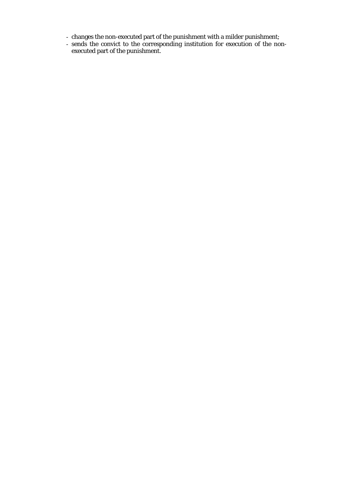- changes the non-executed part of the punishment with a milder punishment;
- sends the convict to the corresponding institution for execution of the nonexecuted part of the punishment.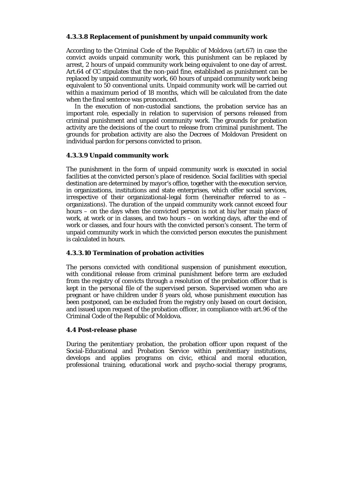#### **4.3.3.8 Replacement of punishment by unpaid community work**

According to the Criminal Code of the Republic of Moldova (art.67) in case the convict avoids unpaid community work, this punishment can be replaced by arrest, 2 hours of unpaid community work being equivalent to one day of arrest. Art.64 of CC stipulates that the non-paid fine, established as punishment can be replaced by unpaid community work, 60 hours of unpaid community work being equivalent to 50 conventional units. Unpaid community work will be carried out within a maximum period of 18 months, which will be calculated from the date when the final sentence was pronounced.

 In the execution of non-custodial sanctions, the probation service has an important role, especially in relation to supervision of persons released from criminal punishment and unpaid community work. The grounds for probation activity are the decisions of the court to release from criminal punishment. The grounds for probation activity are also the Decrees of Moldovan President on individual pardon for persons convicted to prison.

#### **4.3.3.9 Unpaid community work**

The punishment in the form of unpaid community work is executed in social facilities at the convicted person's place of residence. Social facilities with special destination are determined by mayor's office, together with the execution service, in organizations, institutions and state enterprises, which offer social services, irrespective of their organizational-legal form (hereinafter referred to as – organizations). The duration of the unpaid community work cannot exceed four hours – on the days when the convicted person is not at his/her main place of work, at work or in classes, and two hours – on working days, after the end of work or classes, and four hours with the convicted person's consent. The term of unpaid community work in which the convicted person executes the punishment is calculated in hours.

## **4.3.3.10 Termination of probation activities**

The persons convicted with conditional suspension of punishment execution, with conditional release from criminal punishment before term are excluded from the registry of convicts through a resolution of the probation officer that is kept in the personal file of the supervised person. Supervised women who are pregnant or have children under  $\overline{8}$  years old, whose punishment execution has been postponed, can be excluded from the registry only based on court decision, and issued upon request of the probation officer, in compliance with art.96 of the Criminal Code of the Republic of Moldova.

#### **4.4 Post-release phase**

During the penitentiary probation, the probation officer upon request of the Social-Educational and Probation Service within penitentiary institutions, develops and applies programs on civic, ethical and moral education, professional training, educational work and psycho-social therapy programs,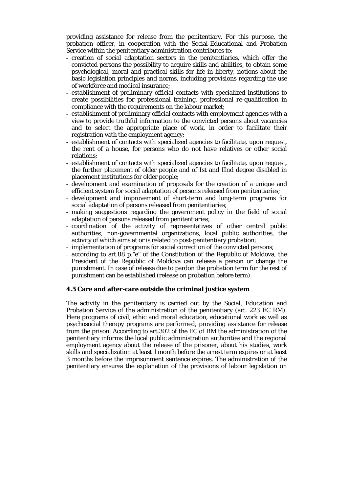providing assistance for release from the penitentiary. For this purpose, the probation officer, in cooperation with the Social-Educational and Probation Service within the penitentiary administration contributes to:

- creation of social adaptation sectors in the penitentiaries, which offer the convicted persons the possibility to acquire skills and abilities, to obtain some psychological, moral and practical skills for life in liberty, notions about the basic legislation principles and norms, including provisions regarding the use of workforce and medical insurance;
- establishment of preliminary official contacts with specialized institutions to create possibilities for professional training, professional re-qualification in compliance with the requirements on the labour market;
- establishment of preliminary official contacts with employment agencies with a view to provide truthful information to the convicted persons about vacancies and to select the appropriate place of work, in order to facilitate their registration with the employment agency;
- establishment of contacts with specialized agencies to facilitate, upon request, the rent of a house, for persons who do not have relatives or other social relations;
- establishment of contacts with specialized agencies to facilitate, upon request, the further placement of older people and of Ist and IInd degree disabled in placement institutions for older people;
- development and examination of proposals for the creation of a unique and efficient system for social adaptation of persons released from penitentiaries;
- development and improvement of short-term and long-term programs for social adaptation of persons released from penitentiaries;
- making suggestions regarding the government policy in the field of social adaptation of persons released from penitentiaries;
- coordination of the activity of representatives of other central public authorities, non-governmental organizations, local public authorities, the activity of which aims at or is related to post-penitentiary probation;
- implementation of programs for social correction of the convicted persons;
- according to art.88  $p^{\alpha}$  e" of the Constitution of the Republic of Moldova, the President of the Republic of Moldova can release a person or change the punishment. In case of release due to pardon the probation term for the rest of punishment can be established (release on probation before term).

## **4.5 Care and after-care outside the criminal justice system**

The activity in the penitentiary is carried out by the Social, Education and Probation Service of the administration of the penitentiary (art. 223 EC RM). Here programs of civil, ethic and moral education, educational work as well as psychosocial therapy programs are performed, providing assistance for release from the prison. According to art.302 of the EC of RM the administration of the penitentiary informs the local public administration authorities and the regional employment agency about the release of the prisoner, about his studies, work skills and specialization at least 1 month before the arrest term expires or at least 3 months before the imprisonment sentence expires. The administration of the penitentiary ensures the explanation of the provisions of labour legislation on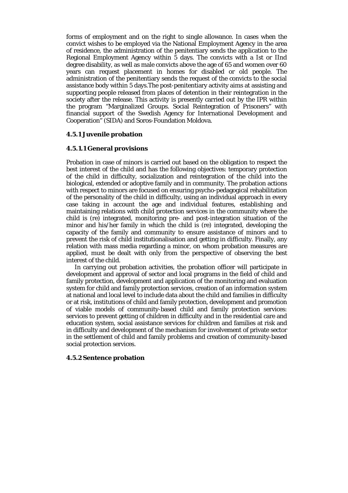forms of employment and on the right to single allowance. In cases when the convict wishes to be employed via the National Employment Agency in the area of residence, the administration of the penitentiary sends the application to the Regional Employment Agency within 5 days. The convicts with a Ist or IInd degree disability, as well as male convicts above the age of 65 and women over 60 years can request placement in homes for disabled or old people. The administration of the penitentiary sends the request of the convicts to the social assistance body within 5 days.The post-penitentiary activity aims at assisting and supporting people released from places of detention in their reintegration in the society after the release. This activity is presently carried out by the IPR within the program "Marginalized Groups. Social Reintegration of Prisoners" with financial support of the Swedish Agency for International Development and Cooperation" (SIDA) and Soros-Foundation Moldova.

## **4.5.1 Juvenile probation**

#### **4.5.1.1 General provisions**

Probation in case of minors is carried out based on the obligation to respect the best interest of the child and has the following objectives: temporary protection of the child in difficulty, socialization and reintegration of the child into the biological, extended or adoptive family and in community. The probation actions with respect to minors are focused on ensuring psycho-pedagogical rehabilitation of the personality of the child in difficulty, using an individual approach in every case taking in account the age and individual features, establishing and maintaining relations with child protection services in the community where the child is (re) integrated, monitoring pre- and post-integration situation of the minor and his/her family in which the child is (re) integrated, developing the capacity of the family and community to ensure assistance of minors and to prevent the risk of child institutionalisation and getting in difficulty. Finally, any relation with mass media regarding a minor, on whom probation measures are applied, must be dealt with only from the perspective of observing the best interest of the child.

 In carrying out probation activities, the probation officer will participate in development and approval of sector and local programs in the field of child and family protection, development and application of the monitoring and evaluation system for child and family protection services, creation of an information system at national and local level to include data about the child and families in difficulty or at risk, institutions of child and family protection, development and promotion of viable models of community-based child and family protection services: services to prevent getting of children in difficulty and in the residential care and education system, social assistance services for children and families at risk and in difficulty and development of the mechanism for involvement of private sector in the settlement of child and family problems and creation of community-based social protection services.

#### **4.5.2 Sentence probation**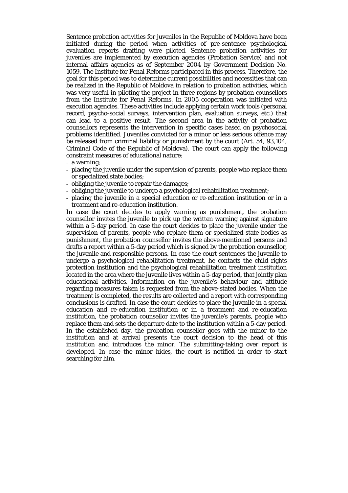Sentence probation activities for juveniles in the Republic of Moldova have been initiated during the period when activities of pre-sentence psychological evaluation reports drafting were piloted. Sentence probation activities for juveniles are implemented by execution agencies (Probation Service) and not internal affairs agencies as of September 2004 by Government Decision No. 1059. The Institute for Penal Reforms participated in this process. Therefore, the goal for this period was to determine current possibilities and necessities that can be realized in the Republic of Moldova in relation to probation activities, which was very useful in piloting the project in three regions by probation counsellors from the Institute for Penal Reforms. In 2005 cooperation was initiated with execution agencies. These activities include applying certain work tools (personal record, psycho-social surveys, intervention plan, evaluation surveys, etc.) that can lead to a positive result. The second area in the activity of probation counsellors represents the intervention in specific cases based on psychosocial problems identified. Juveniles convicted for a minor or less serious offence may be released from criminal liability or punishment by the court (Art. 54, 93,104, Criminal Code of the Republic of Moldova). The court can apply the following constraint measures of educational nature:

- a warning;
- placing the juvenile under the supervision of parents, people who replace them or specialized state bodies;
- obliging the juvenile to repair the damages;
- obliging the juvenile to undergo a psychological rehabilitation treatment;
- placing the juvenile in a special education or re-education institution or in a treatment and re-education institution.

In case the court decides to apply warning as punishment, the probation counsellor invites the juvenile to pick up the written warning against signature within a 5-day period. In case the court decides to place the juvenile under the supervision of parents, people who replace them or specialized state bodies as punishment, the probation counsellor invites the above-mentioned persons and drafts a report within a 5-day period which is signed by the probation counsellor, the juvenile and responsible persons. In case the court sentences the juvenile to undergo a psychological rehabilitation treatment, he contacts the child rights protection institution and the psychological rehabilitation treatment institution located in the area where the juvenile lives within a 5-day period, that jointly plan educational activities. Information on the juvenile's behaviour and attitude regarding measures taken is requested from the above-stated bodies. When the treatment is completed, the results are collected and a report with corresponding conclusions is drafted. In case the court decides to place the juvenile in a special education and re-education institution or in a treatment and re-education institution, the probation counsellor invites the juvenile's parents, people who replace them and sets the departure date to the institution within a 5-day period. In the established day, the probation counsellor goes with the minor to the institution and at arrival presents the court decision to the head of this institution and introduces the minor. The submitting-taking over report is developed. In case the minor hides, the court is notified in order to start searching for him.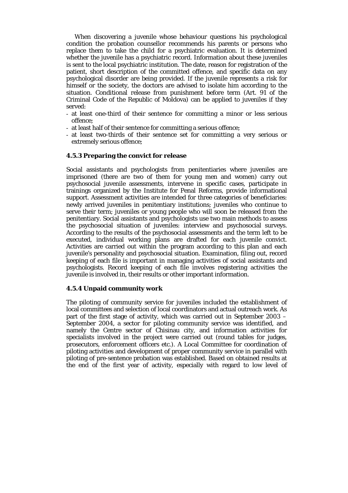When discovering a juvenile whose behaviour questions his psychological condition the probation counsellor recommends his parents or persons who replace them to take the child for a psychiatric evaluation. It is determined whether the juvenile has a psychiatric record. Information about these juveniles is sent to the local psychiatric institution. The date, reason for registration of the patient, short description of the committed offence, and specific data on any psychological disorder are being provided. If the juvenile represents a risk for himself or the society, the doctors are advised to isolate him according to the situation. Conditional release from punishment before term (Art. 91 of the Criminal Code of the Republic of Moldova) can be applied to juveniles if they served:

- at least one-third of their sentence for committing a minor or less serious offence;
- at least half of their sentence for committing a serious offence;
- at least two-thirds of their sentence set for committing a very serious or extremely serious offence;

#### **4.5.3 Preparing the convict for release**

Social assistants and psychologists from penitentiaries where juveniles are imprisoned (there are two of them for young men and women) carry out psychosocial juvenile assessments, intervene in specific cases, participate in trainings organized by the Institute for Penal Reforms, provide informational support. Assessment activities are intended for three categories of beneficiaries: newly arrived juveniles in penitentiary institutions; juveniles who continue to serve their term; juveniles or young people who will soon be released from the penitentiary. Social assistants and psychologists use two main methods to assess the psychosocial situation of juveniles: interview and psychosocial surveys. According to the results of the psychosocial assessments and the term left to be executed, individual working plans are drafted for each juvenile convict. Activities are carried out within the program according to this plan and each juvenile's personality and psychosocial situation. Examination, filing out, record keeping of each file is important in managing activities of social assistants and psychologists. Record keeping of each file involves registering activities the juvenile is involved in, their results or other important information.

#### **4.5.4 Unpaid community work**

The piloting of community service for juveniles included the establishment of local committees and selection of local coordinators and actual outreach work. As part of the first stage of activity, which was carried out in September 2003 – September 2004, a sector for piloting community service was identified, and namely the Centre sector of Chisinau city, and information activities for specialists involved in the project were carried out (round tables for judges, prosecutors, enforcement officers etc.). A Local Committee for coordination of piloting activities and development of proper community service in parallel with piloting of pre-sentence probation was established. Based on obtained results at the end of the first year of activity, especially with regard to low level of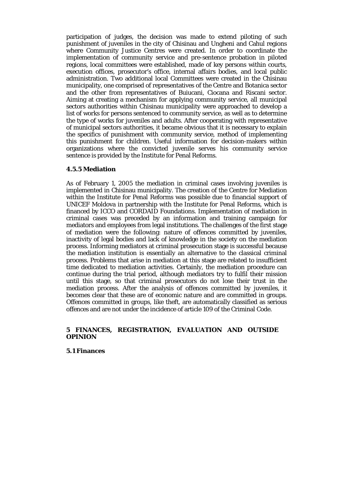participation of judges, the decision was made to extend piloting of such punishment of juveniles in the city of Chisinau and Ungheni and Cahul regions where Community Justice Centres were created. In order to coordinate the implementation of community service and pre-sentence probation in piloted regions, local committees were established, made of key persons within courts, execution offices, prosecutor's office, internal affairs bodies, and local public administration. Two additional local Committees were created in the Chisinau municipality, one comprised of representatives of the Centre and Botanica sector and the other from representatives of Buiucani, Ciocana and Riscani sector. Aiming at creating a mechanism for applying community service, all municipal sectors authorities within Chisinau municipality were approached to develop a list of works for persons sentenced to community service, as well as to determine the type of works for juveniles and adults. After cooperating with representative of municipal sectors authorities, it became obvious that it is necessary to explain the specifics of punishment with community service, method of implementing this punishment for children. Useful information for decision-makers within organizations where the convicted juvenile serves his community service sentence is provided by the Institute for Penal Reforms.

#### **4.5.5 Mediation**

As of February 1, 2005 the mediation in criminal cases involving juveniles is implemented in Chisinau municipality. The creation of the Centre for Mediation within the Institute for Penal Reforms was possible due to financial support of UNICEF Moldova in partnership with the Institute for Penal Reforms, which is financed by ICCO and CORDAID Foundations. Implementation of mediation in criminal cases was preceded by an information and training campaign for mediators and employees from legal institutions. The challenges of the first stage of mediation were the following: nature of offences committed by juveniles, inactivity of legal bodies and lack of knowledge in the society on the mediation process. Informing mediators at criminal prosecution stage is successful because the mediation institution is essentially an alternative to the classical criminal process. Problems that arise in mediation at this stage are related to insufficient time dedicated to mediation activities. Certainly, the mediation procedure can continue during the trial period, although mediators try to fulfil their mission until this stage, so that criminal prosecutors do not lose their trust in the mediation process. After the analysis of offences committed by juveniles, it becomes clear that these are of economic nature and are committed in groups. Offences committed in groups, like theft, are automatically classified as serious offences and are not under the incidence of article 109 of the Criminal Code.

## **5 FINANCES, REGISTRATION, EVALUATION AND OUTSIDE OPINION**

**5.1 Finances**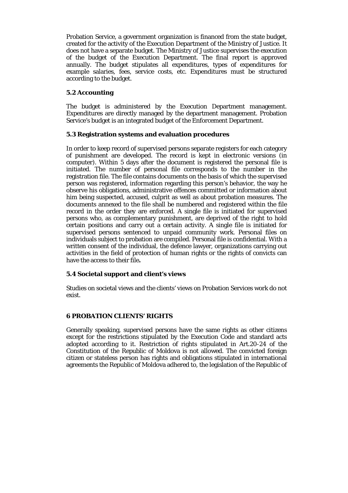Probation Service, a government organization is financed from the state budget, created for the activity of the Execution Department of the Ministry of Justice. It does not have a separate budget. The Ministry of Justice supervises the execution of the budget of the Execution Department. The final report is approved annually. The budget stipulates all expenditures, types of expenditures for example salaries, fees, service costs, etc. Expenditures must be structured according to the budget.

## **5.2 Accounting**

The budget is administered by the Execution Department management. Expenditures are directly managed by the department management. Probation Service's budget is an integrated budget of the Enforcement Department.

## **5.3 Registration systems and evaluation procedures**

In order to keep record of supervised persons separate registers for each category of punishment are developed. The record is kept in electronic versions (in computer). Within 5 days after the document is registered the personal file is initiated. The number of personal file corresponds to the number in the registration file. The file contains documents on the basis of which the supervised person was registered, information regarding this person's behavior, the way he observe his obligations, administrative offences committed or information about him being suspected, accused, culprit as well as about probation measures. The documents annexed to the file shall be numbered and registered within the file record in the order they are enforced. A single file is initiated for supervised persons who, as complementary punishment, are deprived of the right to hold certain positions and carry out a certain activity. A single file is initiated for supervised persons sentenced to unpaid community work. Personal files on individuals subject to probation are compiled. Personal file is confidential. With a written consent of the individual, the defence lawyer, organizations carrying out activities in the field of protection of human rights or the rights of convicts can have the access to their file**.** 

## **5.4 Societal support and client's views**

Studies on societal views and the clients' views on Probation Services work do not exist.

## **6 PROBATION CLIENTS' RIGHTS**

Generally speaking, supervised persons have the same rights as other citizens except for the restrictions stipulated by the Execution Code and standard acts adopted according to it. Restriction of rights stipulated in Art.20-24 of the Constitution of the Republic of Moldova is not allowed. The convicted foreign citizen or stateless person has rights and obligations stipulated in international agreements the Republic of Moldova adhered to, the legislation of the Republic of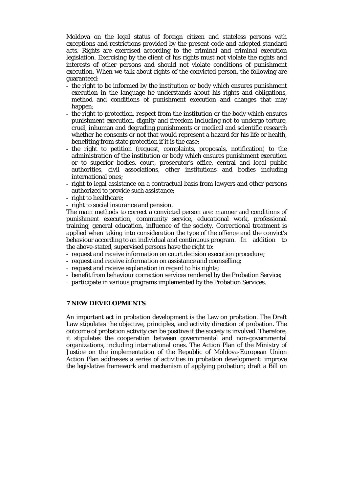Moldova on the legal status of foreign citizen and stateless persons with exceptions and restrictions provided by the present code and adopted standard acts. Rights are exercised according to the criminal and criminal execution legislation. Exercising by the client of his rights must not violate the rights and interests of other persons and should not violate conditions of punishment execution. When we talk about rights of the convicted person, the following are guaranteed:

- the right to be informed by the institution or body which ensures punishment execution in the language he understands about his rights and obligations, method and conditions of punishment execution and changes that may happen;
- the right to protection, respect from the institution or the body which ensures punishment execution, dignity and freedom including not to undergo torture, cruel, inhuman and degrading punishments or medical and scientific research whether he consents or not that would represent a hazard for his life or health, benefiting from state protection if it is the case;
- the right to petition (request, complaints, proposals, notification) to the administration of the institution or body which ensures punishment execution or to superior bodies, court, prosecutor's office, central and local public authorities, civil associations, other institutions and bodies including international ones;
- right to legal assistance on a contractual basis from lawyers and other persons authorized to provide such assistance;
- right to healthcare;
- right to social insurance and pension.

The main methods to correct a convicted person are: manner and conditions of punishment execution, community service, educational work, professional training, general education, influence of the society. Correctional treatment is applied when taking into consideration the type of the offence and the convict's behaviour according to an individual and continuous program. In addition to the above-stated, supervised persons have the right to:

- request and receive information on court decision execution procedure;
- request and receive information on assistance and counselling;
- request and receive explanation in regard to his rights;
- benefit from behaviour correction services rendered by the Probation Service;
- participate in various programs implemented by the Probation Services.

#### **7 NEW DEVELOPMENTS**

An important act in probation development is the Law on probation. The Draft Law stipulates the objective, principles, and activity direction of probation. The outcome of probation activity can be positive if the society is involved. Therefore, it stipulates the cooperation between governmental and non-governmental organizations, including international ones. The Action Plan of the Ministry of Justice on the implementation of the Republic of Moldova-European Union Action Plan addresses a series of activities in probation development: improve the legislative framework and mechanism of applying probation; draft a Bill on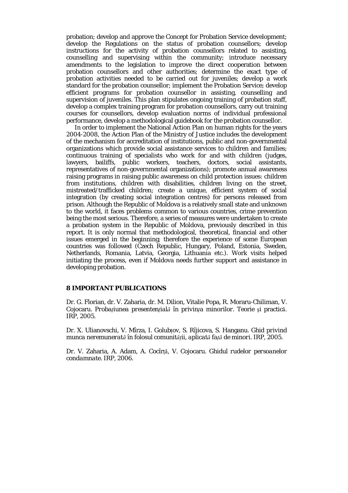probation; develop and approve the Concept for Probation Service development; develop the Regulations on the status of probation counsellors; develop instructions for the activity of probation counsellors related to assisting, counselling and supervising within the community; introduce necessary amendments to the legislation to improve the direct cooperation between probation counsellors and other authorities; determine the exact type of probation activities needed to be carried out for juveniles; develop a work standard for the probation counsellor; implement the Probation Service; develop efficient programs for probation counsellor in assisting, counselling and supervision of juveniles. This plan stipulates ongoing training of probation staff, develop a complex training program for probation counsellors, carry out training courses for counsellors, develop evaluation norms of individual professional performance, develop a methodological guidebook for the probation counsellor.

In order to implement the National Action Plan on human rights for the years 2004-2008, the Action Plan of the Ministry of Justice includes the development of the mechanism for accreditation of institutions, public and non-governmental organizations which provide social assistance services to children and families; continuous training of specialists who work for and with children (judges, lawyers, bailiffs, public workers, teachers, doctors, social assistants, representatives of non-governmental organizations); promote annual awareness raising programs in raising public awareness on child protection issues: children from institutions, children with disabilities, children living on the street, mistreated/trafficked children; create a unique, efficient system of social integration (by creating social integration centres) for persons released from prison. Although the Republic of Moldova is a relatively small state and unknown to the world, it faces problems common to various countries, crime prevention being the most serious. Therefore, a series of measures were undertaken to create a probation system in the Republic of Moldova, previously described in this report. It is only normal that methodological, theoretical, financial and other issues emerged in the beginning; therefore the experience of some European countries was followed (Czech Republic, Hungary, Poland, Estonia, Sweden, Netherlands, Romania, Latvia, Georgia, Lithuania etc.). Work visits helped initiating the process, even if Moldova needs further support and assistance in developing probation.

#### **8 IMPORTANT PUBLICATIONS**

Dr. G. Florian, dr. V. Zaharia, dr. M. Dilion, Vitalie Popa, R. Moraru-Chiliman, V. Cojocaru. *Probaţiunea presentenţială în privinţa minorilor*. Teorie şi practică. IRP, 2005.

Dr. X. Ulianovschi, V. Mîrza, I. Golubţov, S. Rîjicova, S. Hanganu. *Ghid privind munca neremunerată în folosul comunităţii, aplicată faţă de minori.* IRP, 2005.

Dr. V. Zaharia, A. Adam, A. Cocîrţă, V. Cojocaru. *Ghidul rudelor persoanelor condamnate.* IRP, 2006.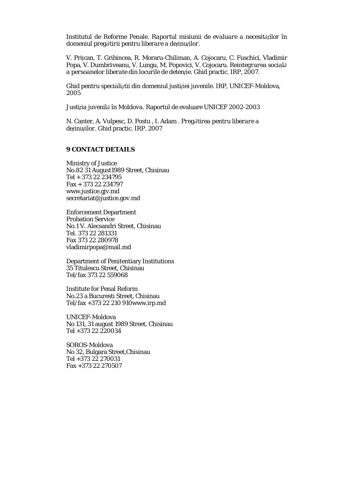Institutul de Reforme Penale. *Raportul misiunii de evaluare a necesităţilor în domeniul pregătirii pentru liberare a deţinuţilor*.

V. Priţcan, T. Gribincea, R. Moraru-Chiliman, A. Cojocaru, C. Fuschici, Vladimir Popa, V. Dumbrăveanu, V. Lungu, M. Popovici, V. Cojocaru. *Reintegrarea socială a persoanelor liberate din locurile de detenţie.* Ghid practic. IRP, 2007.

*Ghid pentru specialiştii din domeniul justiţiei juvenile*. IRP, UNICEF-Moldova, 2005

*Justiţia juvenilă în Moldova.* Raportul de evaluare UNICEF 2002-2003

N. Canter, A. Vulpesc, D. Postu , I. Adam . *Pregătirea pentru liberare a deţinuţilor.* Ghid practic. IRP. 2007

#### **9 CONTACT DETAILS**

Ministry of Justice No.82 31 August1989 Street, Chisinau Tel + 373 22 234795 Fax + 373 22 234797 www.justice.gjv.md secretariat@justice.gov.md

Enforcement Department Probation Service No.1 V. Alecsandri Street, Chisinau Tel. 373 22 281331 Fax 373 22 280978 vladimirpopa@mail.md

Department of Penitentiary Institutions 35 Titulescu Street, Chisinau Tel/fax 373 22 559068

Institute for Penal Reform No.23 a Bucuresti Street, Chisinau Tel/fax +373 22 210 910www.irp.md

UNICEF-Moldova No 131, 31 august 1989 Street, Chisinau Tel +373 22 220034

SOROS-Moldova No 32, Bulgara Street,Chisinau Tel +373 22 270031 Fax +373 22 270507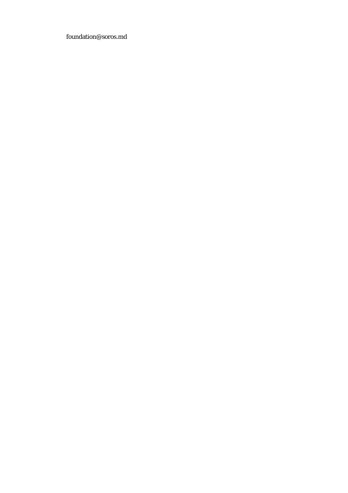foundation@soros.md